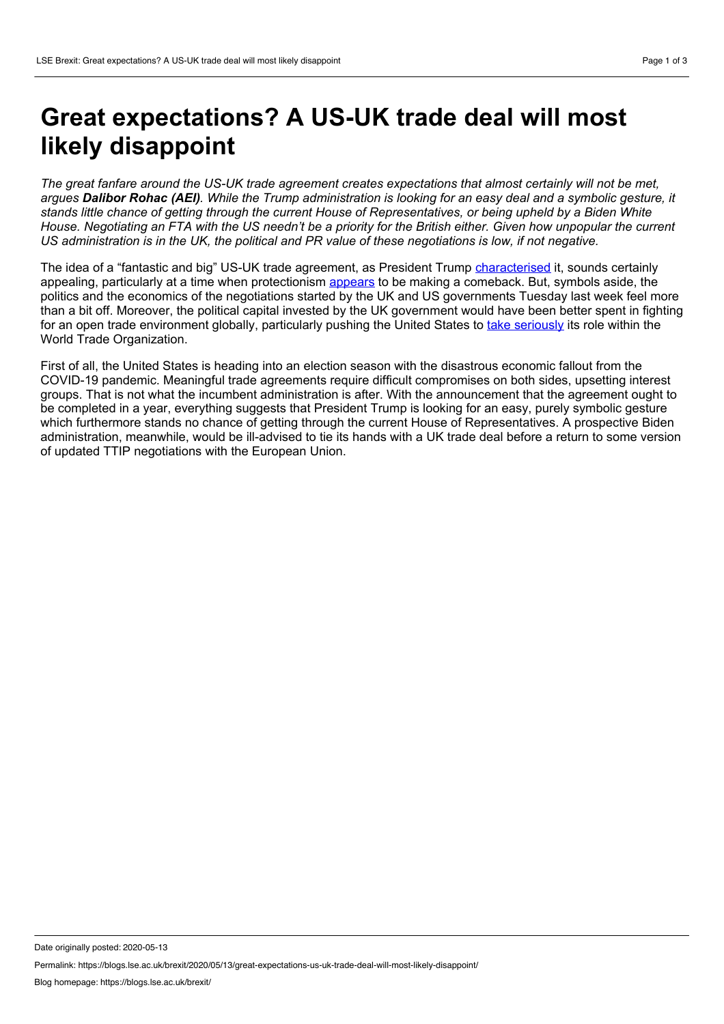## **Great expectations? A US-UK trade deal will most likely disappoint**

The great fanfare around the US-UK trade agreement creates expectations that almost certainly will not be met. arques **Dalibor Rohac (AEI)**. While the Trump administration is looking for an easy deal and a symbolic gesture, it stands little chance of getting through the current House of Representatives, or being upheld by a Biden White House. Negotiating an FTA with the US needn't be a priority for the British either. Given how unpopular the current US administration is in the UK, the political and PR value of these negotiations is low, if not negative.

The idea of a "fantastic and big" US-UK trade agreement, as President Trump [characterised](https://www.washingtonpost.com/world/us-uk-trade-deal-trump-boasted-would-be-fantastic-and-big-boosters-may-be-dissappointed/2020/03/02/0d8577c2-5c90-11ea-ac50-18701e14e06d_story.html) it, sounds certainly appealing, particularly at a time when protectionism [appears](https://voxeu.org/article/pandemic-adds-momentum-deglobalisation-trend) to be making a comeback. But, symbols aside, the politics and the economics of the negotiations started by the UK and US governments Tuesday last week feel more than a bit off. Moreover, the political capital invested by the UK government would have been better spent in fighting for an open trade environment globally, particularly pushing the United States to take [seriously](https://foreignpolicy.com/2019/12/09/trump-may-kill-wto-finally-appellate-body-world-trade-organization/) its role within the World Trade Organization.

First of all, the United States is heading into an election season with the disastrous economic fallout from the COVID-19 pandemic. Meaningful trade agreements require difficult compromises on both sides, upsetting interest groups. That is not what the incumbent administration is after. With the announcement that the agreement ought to be completed in a year, everything suggests that President Trump is looking for an easy, purely symbolic gesture which furthermore stands no chance of getting through the current House of Representatives. A prospective Biden administration, meanwhile, would be ill-advised to tie its hands with a UK trade deal before a return to some version of updated TTIP negotiations with the European Union.

Date originally posted: 2020-05-13

Permalink: https://blogs.lse.ac.uk/brexit/2020/05/13/great-expectations-us-uk-trade-deal-will-most-likely-disappoint/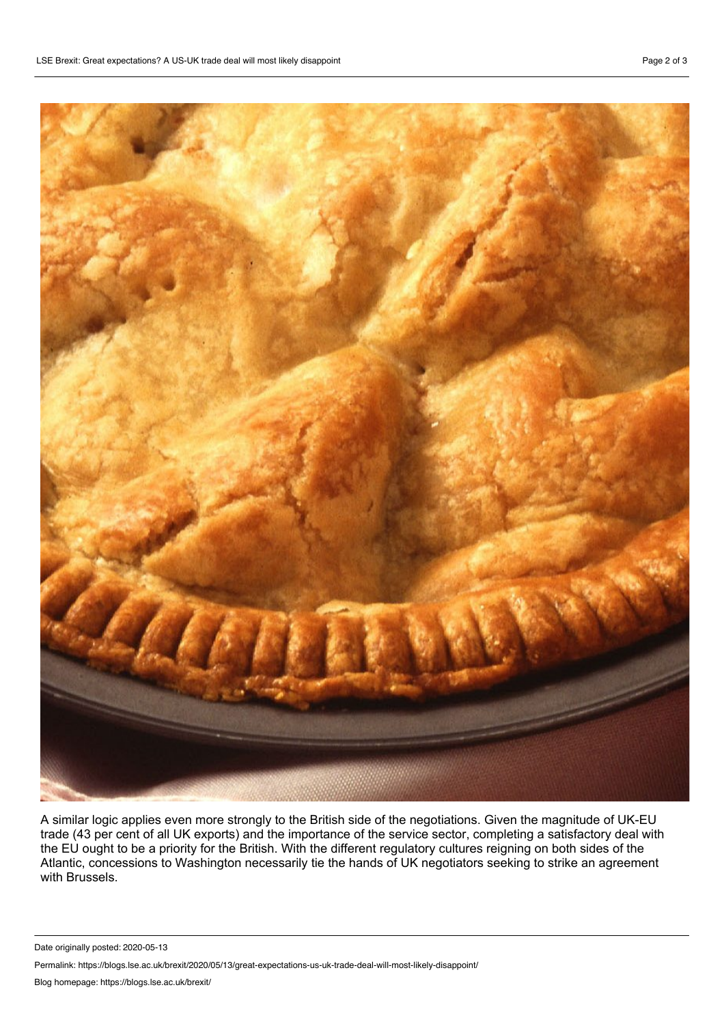

A similar logic applies even more strongly to the British side of the negotiations. Given the magnitude of UK-EU trade (43 per cent of all UK exports) and the importance of the service sector, completing a satisfactory deal with the EU ought to be a priority for the British. With the different regulatory cultures reigning on both sides of the Atlantic, concessions to Washington necessarily tie the hands of UK negotiators seeking to strike an agreement with Brussels.

Date originally posted: 2020-05-13

Permalink: https://blogs.lse.ac.uk/brexit/2020/05/13/great-expectations-us-uk-trade-deal-will-most-likely-disappoint/